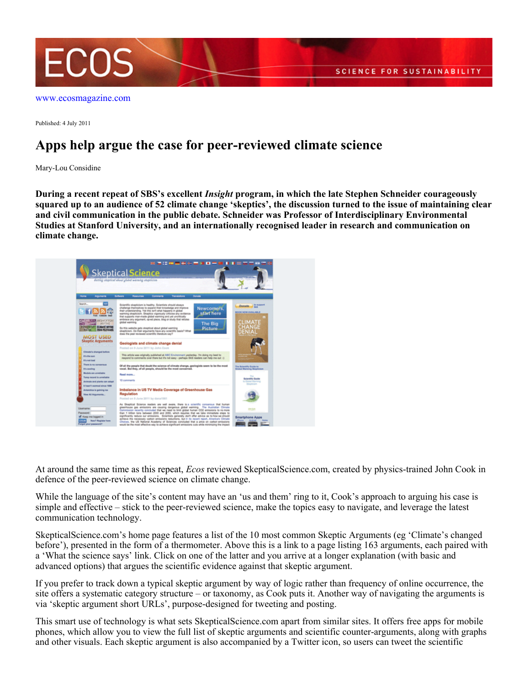

[www.ecosmagazine.com](http://www.ecosmagazine.com)

Published: 4 July 2011

## **Apps help argue the case for peer-reviewed climate science**

Mary-Lou Considine

**During a recent repeat of SBS's excellent** *Insight* **program, in which the late Stephen Schneider courageously squared up to an audience of 52 climate change 'skeptics', the discussion turned to the issue of maintaining clear and civil communication in the public debate. Schneider was Professor of Interdisciplinary Environmental Studies at Stanford University, and an internationally recognised leader in research and communication on climate change.**



At around the same time as this repeat, *Ecos* reviewed SkepticalScience.com, created by physics-trained John Cook in defence of the peer-reviewed science on climate change.

While the language of the site's content may have an 'us and them' ring to it, Cook's approach to arguing his case is simple and effective – stick to the peer-reviewed science, make the topics easy to navigate, and leverage the latest communication technology.

SkepticalScience.com's home page features a list of the 10 most common Skeptic Arguments (eg 'Climate's changed before'), presented in the form of a thermometer. Above this is a link to a page listing 163 arguments, each paired with a 'What the science says' link. Click on one of the latter and you arrive at a longer explanation (with basic and advanced options) that argues the scientific evidence against that skeptic argument.

If you prefer to track down a typical skeptic argument by way of logic rather than frequency of online occurrence, the site offers a systematic category structure – or taxonomy, as Cook puts it. Another way of navigating the arguments is via 'skeptic argument short URLs', purpose-designed for tweeting and posting.

This smart use of technology is what sets SkepticalScience.com apart from similar sites. It offers free apps for mobile phones, which allow you to view the full list of skeptic arguments and scientific counter-arguments, along with graphs and other visuals. Each skeptic argument is also accompanied by a Twitter icon, so users can tweet the scientific